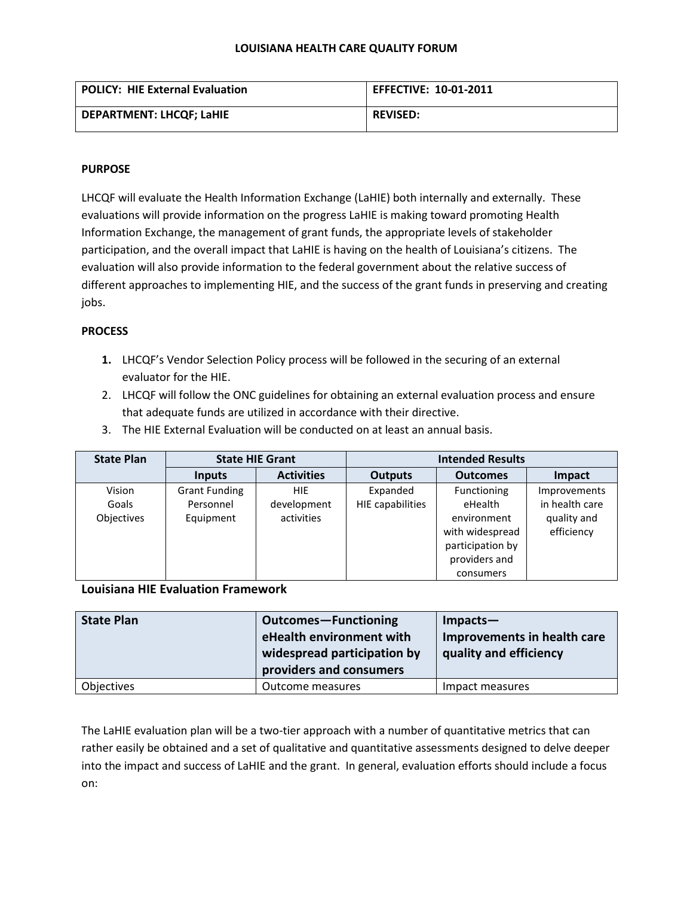#### **LOUISIANA HEALTH CARE QUALITY FORUM**

| POLICY: HIE External Evaluation | <b>EFFECTIVE: 10-01-2011</b> |
|---------------------------------|------------------------------|
| <b>DEPARTMENT: LHCQF; LaHIE</b> | <b>REVISED:</b>              |

### **PURPOSE**

LHCQF will evaluate the Health Information Exchange (LaHIE) both internally and externally. These evaluations will provide information on the progress LaHIE is making toward promoting Health Information Exchange, the management of grant funds, the appropriate levels of stakeholder participation, and the overall impact that LaHIE is having on the health of Louisiana's citizens. The evaluation will also provide information to the federal government about the relative success of different approaches to implementing HIE, and the success of the grant funds in preserving and creating jobs.

## **PROCESS**

- **1.** LHCQF's Vendor Selection Policy process will be followed in the securing of an external evaluator for the HIE.
- 2. LHCQF will follow the ONC guidelines for obtaining an external evaluation process and ensure that adequate funds are utilized in accordance with their directive.
- 3. The HIE External Evaluation will be conducted on at least an annual basis.

| <b>State Plan</b> | <b>State HIE Grant</b> |                   | <b>Intended Results</b> |                  |                |
|-------------------|------------------------|-------------------|-------------------------|------------------|----------------|
|                   | <b>Inputs</b>          | <b>Activities</b> | <b>Outputs</b>          | <b>Outcomes</b>  | <b>Impact</b>  |
| Vision            | <b>Grant Funding</b>   | <b>HIE</b>        | Expanded                | Functioning      | Improvements   |
| Goals             | Personnel              | development       | HIE capabilities        | eHealth          | in health care |
| Objectives        | Equipment              | activities        |                         | environment      | quality and    |
|                   |                        |                   |                         | with widespread  | efficiency     |
|                   |                        |                   |                         | participation by |                |
|                   |                        |                   |                         | providers and    |                |
|                   |                        |                   |                         | consumers        |                |

### **Louisiana HIE Evaluation Framework**

| <b>State Plan</b> | <b>Outcomes-Functioning</b><br>eHealth environment with<br>widespread participation by<br>providers and consumers | $Impects-$<br>Improvements in health care<br>quality and efficiency |
|-------------------|-------------------------------------------------------------------------------------------------------------------|---------------------------------------------------------------------|
| Objectives        | Outcome measures                                                                                                  | Impact measures                                                     |

The LaHIE evaluation plan will be a two-tier approach with a number of quantitative metrics that can rather easily be obtained and a set of qualitative and quantitative assessments designed to delve deeper into the impact and success of LaHIE and the grant. In general, evaluation efforts should include a focus on: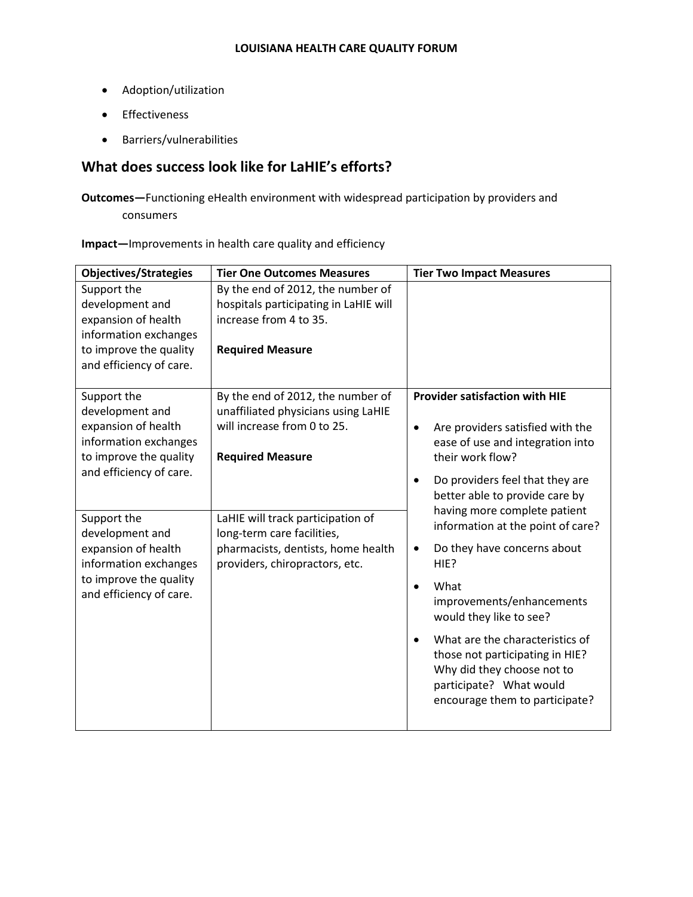- Adoption/utilization
- Effectiveness
- Barriers/vulnerabilities

# **What does success look like for LaHIE's efforts?**

**Outcomes—**Functioning eHealth environment with widespread participation by providers and consumers

## **Impact—**Improvements in health care quality and efficiency

| <b>Objectives/Strategies</b>                                                                                                                                                                                                                                               | <b>Tier One Outcomes Measures</b>                                                                                                                                                                                                                                             | <b>Tier Two Impact Measures</b>                                                                                                                                                                                                                                                                                                                                                                                                                                                                                                                                                                                      |
|----------------------------------------------------------------------------------------------------------------------------------------------------------------------------------------------------------------------------------------------------------------------------|-------------------------------------------------------------------------------------------------------------------------------------------------------------------------------------------------------------------------------------------------------------------------------|----------------------------------------------------------------------------------------------------------------------------------------------------------------------------------------------------------------------------------------------------------------------------------------------------------------------------------------------------------------------------------------------------------------------------------------------------------------------------------------------------------------------------------------------------------------------------------------------------------------------|
| Support the<br>development and<br>expansion of health<br>information exchanges                                                                                                                                                                                             | By the end of 2012, the number of<br>hospitals participating in LaHIE will<br>increase from 4 to 35.                                                                                                                                                                          |                                                                                                                                                                                                                                                                                                                                                                                                                                                                                                                                                                                                                      |
| to improve the quality<br>and efficiency of care.                                                                                                                                                                                                                          | <b>Required Measure</b>                                                                                                                                                                                                                                                       |                                                                                                                                                                                                                                                                                                                                                                                                                                                                                                                                                                                                                      |
| Support the<br>development and<br>expansion of health<br>information exchanges<br>to improve the quality<br>and efficiency of care.<br>Support the<br>development and<br>expansion of health<br>information exchanges<br>to improve the quality<br>and efficiency of care. | By the end of 2012, the number of<br>unaffiliated physicians using LaHIE<br>will increase from 0 to 25.<br><b>Required Measure</b><br>LaHIE will track participation of<br>long-term care facilities,<br>pharmacists, dentists, home health<br>providers, chiropractors, etc. | <b>Provider satisfaction with HIE</b><br>Are providers satisfied with the<br>$\bullet$<br>ease of use and integration into<br>their work flow?<br>Do providers feel that they are<br>$\bullet$<br>better able to provide care by<br>having more complete patient<br>information at the point of care?<br>Do they have concerns about<br>$\bullet$<br>HIE?<br>What<br>$\bullet$<br>improvements/enhancements<br>would they like to see?<br>What are the characteristics of<br>$\bullet$<br>those not participating in HIE?<br>Why did they choose not to<br>participate? What would<br>encourage them to participate? |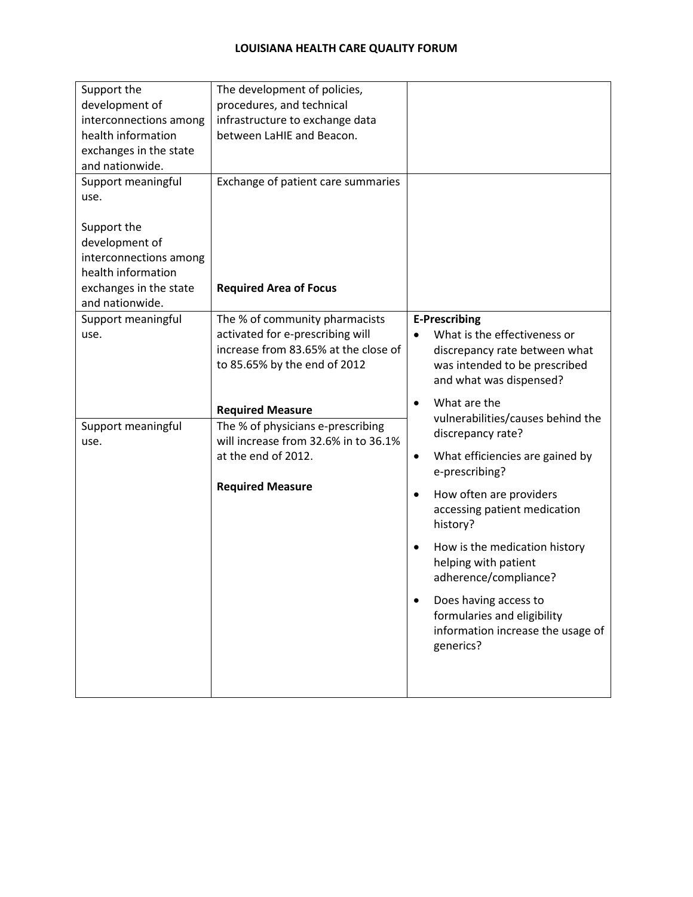| Support the<br>development of<br>interconnections among<br>health information<br>exchanges in the state<br>and nationwide.<br>Support meaningful<br>use. | The development of policies,<br>procedures, and technical<br>infrastructure to exchange data<br>between LaHIE and Beacon.<br>Exchange of patient care summaries |                                                                                                                                                                                                                                                                                                                                                                                                                                                    |
|----------------------------------------------------------------------------------------------------------------------------------------------------------|-----------------------------------------------------------------------------------------------------------------------------------------------------------------|----------------------------------------------------------------------------------------------------------------------------------------------------------------------------------------------------------------------------------------------------------------------------------------------------------------------------------------------------------------------------------------------------------------------------------------------------|
| Support the<br>development of<br>interconnections among<br>health information<br>exchanges in the state<br>and nationwide.                               | <b>Required Area of Focus</b>                                                                                                                                   |                                                                                                                                                                                                                                                                                                                                                                                                                                                    |
| Support meaningful<br>use.                                                                                                                               | The % of community pharmacists<br>activated for e-prescribing will<br>increase from 83.65% at the close of<br>to 85.65% by the end of 2012                      | <b>E-Prescribing</b><br>What is the effectiveness or<br>$\bullet$<br>discrepancy rate between what<br>was intended to be prescribed<br>and what was dispensed?                                                                                                                                                                                                                                                                                     |
| Support meaningful<br>use.                                                                                                                               | <b>Required Measure</b><br>The % of physicians e-prescribing<br>will increase from 32.6% in to 36.1%<br>at the end of 2012.<br><b>Required Measure</b>          | What are the<br>$\bullet$<br>vulnerabilities/causes behind the<br>discrepancy rate?<br>What efficiencies are gained by<br>$\bullet$<br>e-prescribing?<br>How often are providers<br>$\bullet$<br>accessing patient medication<br>history?<br>How is the medication history<br>$\bullet$<br>helping with patient<br>adherence/compliance?<br>Does having access to<br>formularies and eligibility<br>information increase the usage of<br>generics? |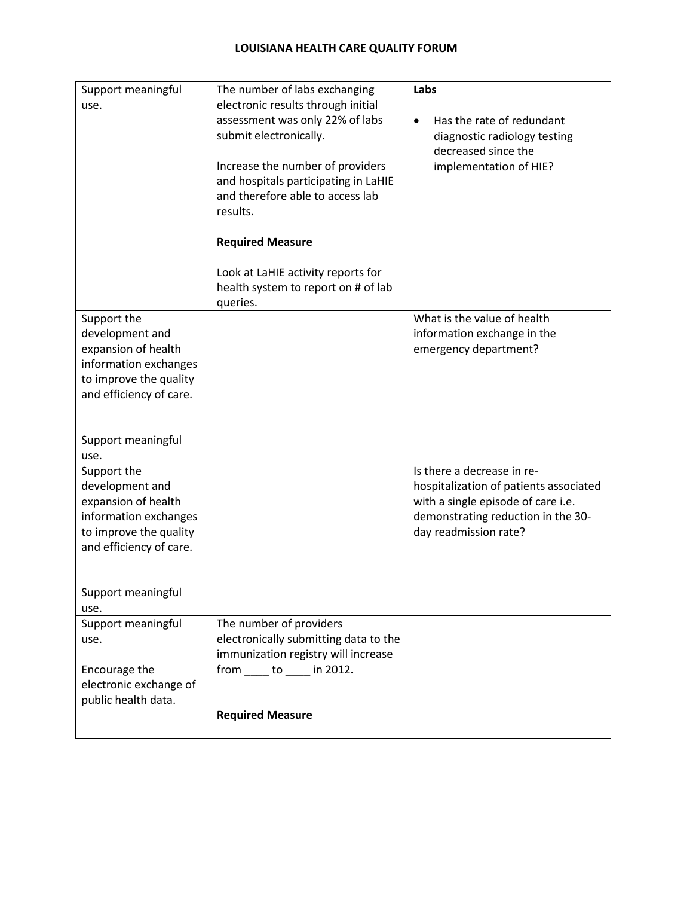| Support meaningful<br>use.                                                                                                          | The number of labs exchanging<br>electronic results through initial<br>assessment was only 22% of labs<br>submit electronically.<br>Increase the number of providers<br>and hospitals participating in LaHIE | Labs<br>Has the rate of redundant<br>$\bullet$<br>diagnostic radiology testing<br>decreased since the<br>implementation of HIE?                                           |
|-------------------------------------------------------------------------------------------------------------------------------------|--------------------------------------------------------------------------------------------------------------------------------------------------------------------------------------------------------------|---------------------------------------------------------------------------------------------------------------------------------------------------------------------------|
|                                                                                                                                     | and therefore able to access lab<br>results.<br><b>Required Measure</b>                                                                                                                                      |                                                                                                                                                                           |
|                                                                                                                                     | Look at LaHIE activity reports for<br>health system to report on # of lab<br>queries.                                                                                                                        |                                                                                                                                                                           |
| Support the<br>development and<br>expansion of health<br>information exchanges<br>to improve the quality<br>and efficiency of care. |                                                                                                                                                                                                              | What is the value of health<br>information exchange in the<br>emergency department?                                                                                       |
| Support meaningful<br>use.                                                                                                          |                                                                                                                                                                                                              |                                                                                                                                                                           |
| Support the<br>development and<br>expansion of health<br>information exchanges<br>to improve the quality<br>and efficiency of care. |                                                                                                                                                                                                              | Is there a decrease in re-<br>hospitalization of patients associated<br>with a single episode of care i.e.<br>demonstrating reduction in the 30-<br>day readmission rate? |
| Support meaningful<br>use.                                                                                                          |                                                                                                                                                                                                              |                                                                                                                                                                           |
| Support meaningful<br>use.<br>Encourage the<br>electronic exchange of<br>public health data.                                        | The number of providers<br>electronically submitting data to the<br>immunization registry will increase<br>from ______ to ______ in 2012.                                                                    |                                                                                                                                                                           |
|                                                                                                                                     | <b>Required Measure</b>                                                                                                                                                                                      |                                                                                                                                                                           |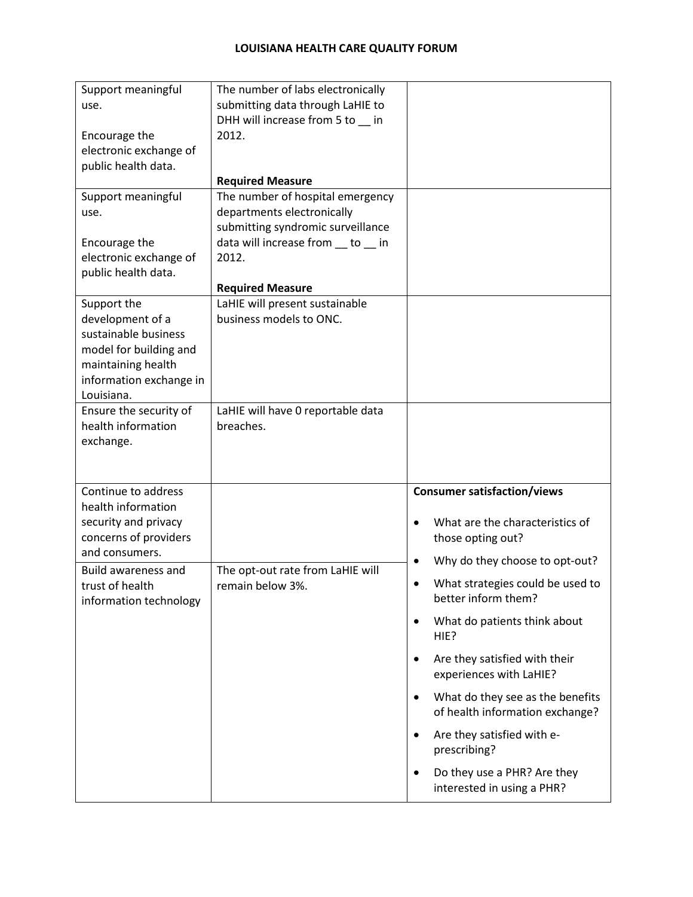| Support meaningful                    | The number of labs electronically                               |                                                                        |
|---------------------------------------|-----------------------------------------------------------------|------------------------------------------------------------------------|
| use.                                  | submitting data through LaHIE to                                |                                                                        |
|                                       | DHH will increase from 5 to in                                  |                                                                        |
| Encourage the                         | 2012.                                                           |                                                                        |
| electronic exchange of                |                                                                 |                                                                        |
| public health data.                   |                                                                 |                                                                        |
|                                       | <b>Required Measure</b>                                         |                                                                        |
| Support meaningful                    | The number of hospital emergency                                |                                                                        |
| use.                                  | departments electronically<br>submitting syndromic surveillance |                                                                        |
| Encourage the                         | data will increase from __ to __ in                             |                                                                        |
| electronic exchange of                | 2012.                                                           |                                                                        |
| public health data.                   |                                                                 |                                                                        |
|                                       | <b>Required Measure</b>                                         |                                                                        |
| Support the                           | LaHIE will present sustainable                                  |                                                                        |
| development of a                      | business models to ONC.                                         |                                                                        |
| sustainable business                  |                                                                 |                                                                        |
| model for building and                |                                                                 |                                                                        |
| maintaining health                    |                                                                 |                                                                        |
| information exchange in               |                                                                 |                                                                        |
| Louisiana.                            |                                                                 |                                                                        |
| Ensure the security of                | LaHIE will have 0 reportable data                               |                                                                        |
| health information                    | breaches.                                                       |                                                                        |
| exchange.                             |                                                                 |                                                                        |
|                                       |                                                                 |                                                                        |
|                                       |                                                                 |                                                                        |
| Continue to address                   |                                                                 | <b>Consumer satisfaction/views</b>                                     |
| health information                    |                                                                 |                                                                        |
| security and privacy                  |                                                                 | What are the characteristics of<br>$\bullet$                           |
| concerns of providers                 |                                                                 | those opting out?                                                      |
| and consumers.<br>Build awareness and |                                                                 | Why do they choose to opt-out?<br>$\bullet$                            |
| trust of health                       | The opt-out rate from LaHIE will<br>remain below 3%.            | What strategies could be used to                                       |
| information technology                |                                                                 | better inform them?                                                    |
|                                       |                                                                 | What do patients think about<br>$\bullet$                              |
|                                       |                                                                 | HIE?                                                                   |
|                                       |                                                                 |                                                                        |
|                                       |                                                                 | Are they satisfied with their<br>$\bullet$<br>experiences with LaHIE?  |
|                                       |                                                                 | What do they see as the benefits<br>$\bullet$                          |
|                                       |                                                                 | of health information exchange?                                        |
|                                       |                                                                 | Are they satisfied with e-<br>$\bullet$<br>prescribing?                |
|                                       |                                                                 | Do they use a PHR? Are they<br>$\bullet$<br>interested in using a PHR? |